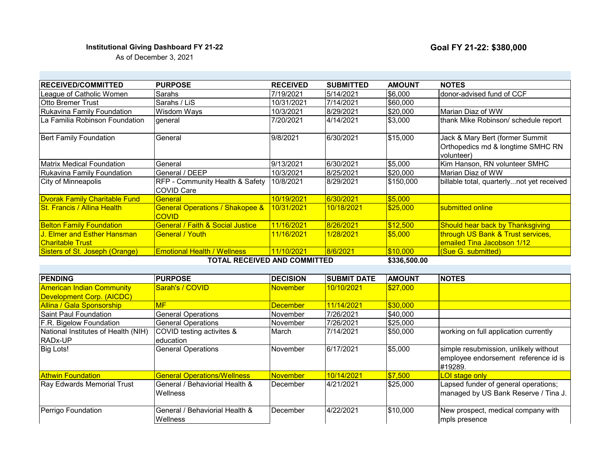## **Institutional Giving Dashboard FY 21-22 Coal FY 21-22: \$380,000**

As of December 3, 2021

| <b>RECEIVED/COMMITTED</b>            | <b>PURPOSE</b>                                             | <b>RECEIVED</b> | <b>SUBMITTED</b> | <b>AMOUNT</b>      | <b>NOTES</b>                                                                       |
|--------------------------------------|------------------------------------------------------------|-----------------|------------------|--------------------|------------------------------------------------------------------------------------|
| League of Catholic Women             | Sarahs                                                     | 7/19/2021       | 5/14/2021        | S6.000             | Idonor-advised fund of CCF                                                         |
| <b>Otto Bremer Trust</b>             | Sarahs / LiS                                               | 10/31/2021      | 7/14/2021        | \$60,000           |                                                                                    |
| Rukavina Family Foundation           | Wisdom Ways                                                | 10/3/2021       | 8/29/2021        | \$20,000           | IMarian Diaz of WW                                                                 |
| La Familia Robinson Foundation .     | general                                                    | 7/20/2021       | 4/14/2021        | \$3,000            | thank Mike Robinson/ schedule report                                               |
| <b>Bert Family Foundation</b>        | General                                                    | 9/8/2021        | 6/30/2021        | \$15,000           | Jack & Mary Bert (former Summit<br>Orthopedics md & longtime SMHC RN<br>volunteer) |
| <b>Matrix Medical Foundation</b>     | General                                                    | 9/13/2021       | 6/30/2021        | \$5,000            | Kim Hanson, RN volunteer SMHC                                                      |
| Rukavina Family Foundation           | General / DEEP                                             | 10/3/2021       | 8/25/2021        | \$20,000           | Marian Diaz of WW                                                                  |
| City of Minneapolis                  | RFP - Community Health & Safety<br><b>COVID Care</b>       | 10/8/2021       | 8/29/2021        | \$150,000          | billable total, quarterlynot yet received                                          |
| <b>Dvorak Family Charitable Fund</b> | General                                                    | 10/19/2021      | 6/30/2021        | \$5.000            |                                                                                    |
| <b>St. Francis / Allina Health</b>   | <b>General Operations / Shakopee &amp;</b><br><b>COVID</b> | 10/31/2021      | 10/18/2021       | \$25.000           | submitted online                                                                   |
| <b>Belton Family Foundation</b>      | <b>General / Faith &amp; Social Justice</b>                | 11/16/2021      | 8/26/2021        | \$12,500           | <b>Should hear back by Thanksgiving</b>                                            |
| <u>J. Elmer and Esther Hansman </u>  | <b>General / Youth</b>                                     | 11/16/2021      | 1/28/2021        | \$5.000            | through US Bank & Trust services,                                                  |
| <u> ICharitable Trust</u>            |                                                            |                 |                  |                    | emailed Tina Jacobson 1/12                                                         |
| Sisters of St. Joseph (Orange)       | <b>Emotional Health / Wellness</b>                         | 11/10/2021      | 8/6/2021         | \$10,000           | (Sue G. submitted)                                                                 |
|                                      | TOTAL DECEIVED AND COMMITTED                               |                 |                  | <b>CODE ENN NN</b> |                                                                                    |

**TOTAL RECEIVED AND COMMITTED**

**\$336,500.00** 

| <b>PENDING</b>                      | <b>PURPOSE</b>                     | <b>DECISION</b>  | <b>SUBMIT DATE</b> | <b>AMOUNT</b> | <b>NOTES</b>                          |
|-------------------------------------|------------------------------------|------------------|--------------------|---------------|---------------------------------------|
| <b>American Indian Community</b>    | Sarah's / COVID                    | <b>November</b>  | 10/10/2021         | \$27,000      |                                       |
| Development Corp. (AICDC)           |                                    |                  |                    |               |                                       |
| Allina / Gala Sponsorship           | MF                                 | <b>December</b>  | 11/14/2021         | \$30,000      |                                       |
| Saint Paul Foundation               | <b>General Operations</b>          | November         | 7/26/2021          | \$40,000      |                                       |
| F.R. Bigelow Foundation             | <b>General Operations</b>          | November         | 7/26/2021          | \$25,000      |                                       |
| National Institutes of Health (NIH) | COVID testing activites &          | March            | 7/14/2021          | \$50,000      | working on full application currently |
| <b>RADx-UP</b>                      | education                          |                  |                    |               |                                       |
| <b>Big Lots!</b>                    | <b>General Operations</b>          | November         | 6/17/2021          | \$5,000       | simple resubmission, unlikely without |
|                                     |                                    |                  |                    |               | employee endorsement reference id is  |
|                                     |                                    |                  |                    |               | #19289.                               |
| <b>Athwin Foundation</b>            | <b>General Operations/Wellness</b> | <b>November</b>  | 10/14/2021         | \$7,500       | <b>LOI</b> stage only                 |
| Ray Edwards Memorial Trust          | lGeneral / Behaviorial Health &    | December         | 4/21/2021          | \$25,000      | Lapsed funder of general operations;  |
|                                     | <b>Wellness</b>                    |                  |                    |               | managed by US Bank Reserve / Tina J.  |
|                                     |                                    |                  |                    |               |                                       |
| Perrigo Foundation                  | General / Behaviorial Health &     | <b>IDecember</b> | 4/22/2021          | \$10,000      | New prospect, medical company with    |
|                                     | lWellness                          |                  |                    |               | mpls presence                         |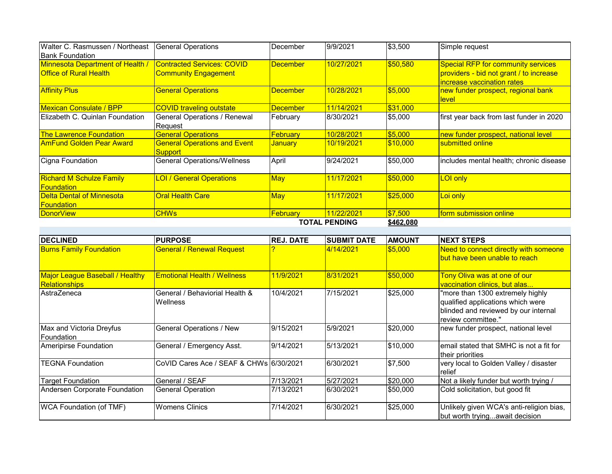| Walter C. Rasmussen / Northeast                      | General Operations                             | December        | 9/9/2021   | \$3,500   | Simple request                                                        |  |
|------------------------------------------------------|------------------------------------------------|-----------------|------------|-----------|-----------------------------------------------------------------------|--|
| <b>IBank Foundation</b>                              |                                                |                 |            |           |                                                                       |  |
| <b>Minnesota Department of Health /</b>              | <b>Contracted Services: COVID</b>              | <b>December</b> | 10/27/2021 | \$50,580  | <b>Special RFP for community services</b>                             |  |
| <b>Office of Rural Health</b>                        | <b>Community Engagement</b>                    |                 |            |           | providers - bid not grant / to increase<br>increase vaccination rates |  |
| <b>Affinity Plus</b>                                 | <b>General Operations</b>                      | <b>December</b> | 10/28/2021 | \$5,000   | new funder prospect, regional bank<br><u>level</u>                    |  |
| <b>Mexican Consulate / BPP</b>                       | <b>COVID traveling outstate</b>                | <b>December</b> | 11/14/2021 | \$31,000  |                                                                       |  |
| Elizabeth C. Quinlan Foundation                      | General Operations / Renewal<br>Request        | February        | 8/30/2021  | \$5,000   | first year back from last funder in 2020                              |  |
| <b>The Lawrence Foundation</b>                       | <b>General Operations</b>                      | <b>February</b> | 10/28/2021 | \$5,000   | new funder prospect, national level                                   |  |
| <b>AmFund Golden Pear Award</b>                      | <b>General Operations and Event</b><br>Support | <b>January</b>  | 10/19/2021 | \$10,000  | submitted online                                                      |  |
| Cigna Foundation                                     | <b>General Operations/Wellness</b>             | April           | 9/24/2021  | \$50,000  | includes mental health; chronic disease                               |  |
| <b>Richard M Schulze Family</b><br><b>Foundation</b> | <b>LOI / General Operations</b>                | <b>May</b>      | 11/17/2021 | \$50,000  | <b>LOI only</b>                                                       |  |
| <b>Delta Dental of Minnesota</b>                     | <b>Oral Health Care</b>                        | <b>May</b>      | 11/17/2021 | \$25,000  | Loi only                                                              |  |
| <u>lFoundation</u>                                   |                                                |                 |            |           |                                                                       |  |
| DonorView                                            | <b>CHWs</b>                                    | <b>February</b> | 11/22/2021 | \$7,500   | form submission online                                                |  |
|                                                      | <b>TOTAL PENDING</b>                           |                 |            | \$462,080 |                                                                       |  |

**TOTAL PENDING**

| <b>DECLINED</b>                                                | <b>PURPOSE</b>                                    | <b>REJ. DATE</b> | <b>SUBMIT DATE</b> | <b>AMOUNT</b>   | <b>INEXT STEPS</b>                                                                                                                  |
|----------------------------------------------------------------|---------------------------------------------------|------------------|--------------------|-----------------|-------------------------------------------------------------------------------------------------------------------------------------|
| <b>Burns Family Foundation</b>                                 | <b>General / Renewal Request</b>                  |                  | 4/14/2021          | \$5,000         | Need to connect directly with someone<br>but have been unable to reach                                                              |
| <b>Major League Baseball / Healthy</b><br><b>Relationships</b> | <b>Emotional Health / Wellness</b>                | 11/9/2021        | 8/31/2021          | \$50,000        | Tony Oliva was at one of our<br>vaccination clinics, but alas                                                                       |
| AstraZeneca                                                    | General / Behaviorial Health &<br><b>Wellness</b> | 10/4/2021        | 7/15/2021          | \$25,000        | "more than 1300 extremely highly<br>qualified applications which were<br>blinded and reviewed by our internal<br>review committee." |
| Max and Victoria Dreyfus<br>lFoundation                        | <b>General Operations / New</b>                   | 9/15/2021        | 5/9/2021           | \$20,000        | new funder prospect, national level                                                                                                 |
| Ameripirse Foundation                                          | General / Emergency Asst.                         | 9/14/2021        | 5/13/2021          | \$10,000        | lemail stated that SMHC is not a fit for<br>their priorities                                                                        |
| <b>TEGNA Foundation</b>                                        | CoVID Cares Ace / SEAF & CHWs 6/30/2021           |                  | 6/30/2021          | $\sqrt{$7,500}$ | very local to Golden Valley / disaster<br>Irelief                                                                                   |
| <b>Target Foundation</b>                                       | General / SEAF                                    | 7/13/2021        | 5/27/2021          | \$20,000        | Not a likely funder but worth trying /                                                                                              |
| Andersen Corporate Foundation                                  | <b>General Operation</b>                          | 7/13/2021        | 6/30/2021          | \$50,000        | Cold solicitation, but good fit                                                                                                     |
| <b>WCA Foundation (of TMF)</b>                                 | <b>Womens Clinics</b>                             | 7/14/2021        | 6/30/2021          | \$25,000        | Unlikely given WCA's anti-religion bias,<br>but worth tryingawait decision                                                          |